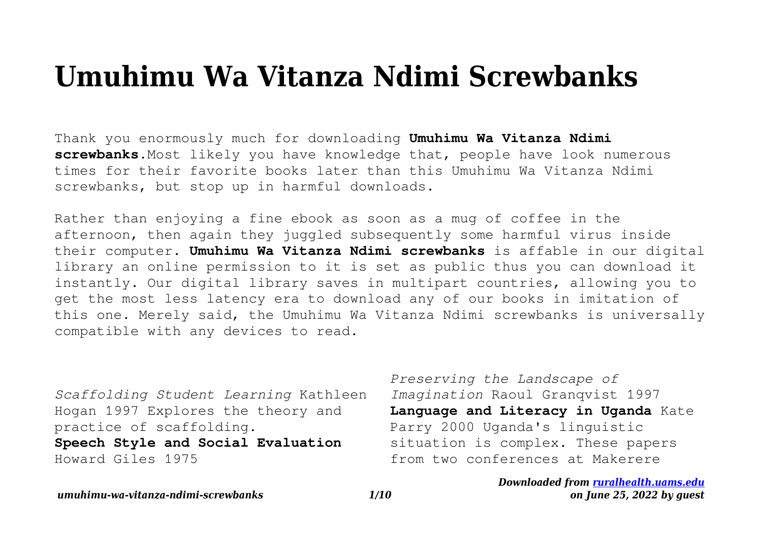## **Umuhimu Wa Vitanza Ndimi Screwbanks**

Thank you enormously much for downloading **Umuhimu Wa Vitanza Ndimi screwbanks**.Most likely you have knowledge that, people have look numerous times for their favorite books later than this Umuhimu Wa Vitanza Ndimi screwbanks, but stop up in harmful downloads.

Rather than enjoying a fine ebook as soon as a mug of coffee in the afternoon, then again they juggled subsequently some harmful virus inside their computer. **Umuhimu Wa Vitanza Ndimi screwbanks** is affable in our digital library an online permission to it is set as public thus you can download it instantly. Our digital library saves in multipart countries, allowing you to get the most less latency era to download any of our books in imitation of this one. Merely said, the Umuhimu Wa Vitanza Ndimi screwbanks is universally compatible with any devices to read.

*Scaffolding Student Learning* Kathleen Hogan 1997 Explores the theory and practice of scaffolding.

**Speech Style and Social Evaluation** Howard Giles 1975

*Preserving the Landscape of Imagination* Raoul Granqvist 1997 **Language and Literacy in Uganda** Kate Parry 2000 Uganda's linguistic situation is complex. These papers from two conferences at Makerere

> *Downloaded from [ruralhealth.uams.edu](http://ruralhealth.uams.edu) on June 25, 2022 by guest*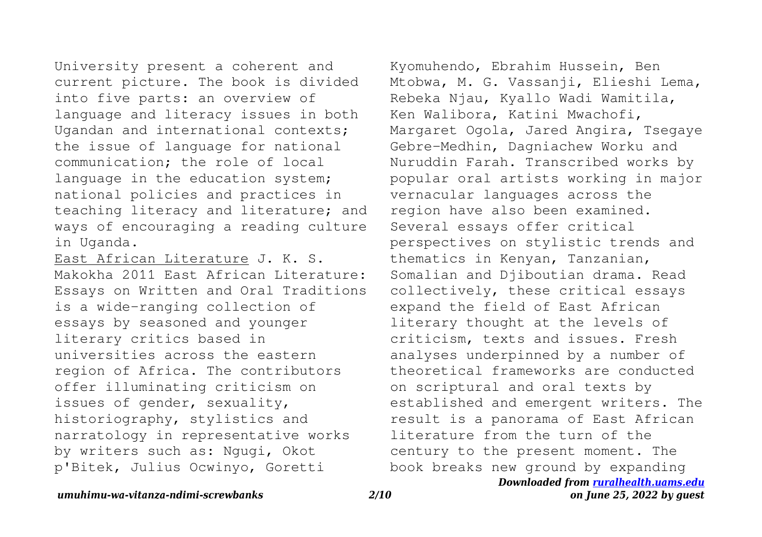University present a coherent and current picture. The book is divided into five parts: an overview of language and literacy issues in both Ugandan and international contexts; the issue of language for national communication; the role of local language in the education system: national policies and practices in teaching literacy and literature; and ways of encouraging a reading culture in Uganda.

East African Literature J. K. S. Makokha 2011 East African Literature: Essays on Written and Oral Traditions is a wide-ranging collection of essays by seasoned and younger literary critics based in universities across the eastern region of Africa. The contributors offer illuminating criticism on issues of gender, sexuality, historiography, stylistics and narratology in representative works by writers such as: Ngugi, Okot p'Bitek, Julius Ocwinyo, Goretti

*Downloaded from [ruralhealth.uams.edu](http://ruralhealth.uams.edu)* Kyomuhendo, Ebrahim Hussein, Ben Mtobwa, M. G. Vassanji, Elieshi Lema, Rebeka Njau, Kyallo Wadi Wamitila, Ken Walibora, Katini Mwachofi, Margaret Ogola, Jared Angira, Tsegaye Gebre-Medhin, Dagniachew Worku and Nuruddin Farah. Transcribed works by popular oral artists working in major vernacular languages across the region have also been examined. Several essays offer critical perspectives on stylistic trends and thematics in Kenyan, Tanzanian, Somalian and Djiboutian drama. Read collectively, these critical essays expand the field of East African literary thought at the levels of criticism, texts and issues. Fresh analyses underpinned by a number of theoretical frameworks are conducted on scriptural and oral texts by established and emergent writers. The result is a panorama of East African literature from the turn of the century to the present moment. The book breaks new ground by expanding

## *umuhimu-wa-vitanza-ndimi-screwbanks 2/10*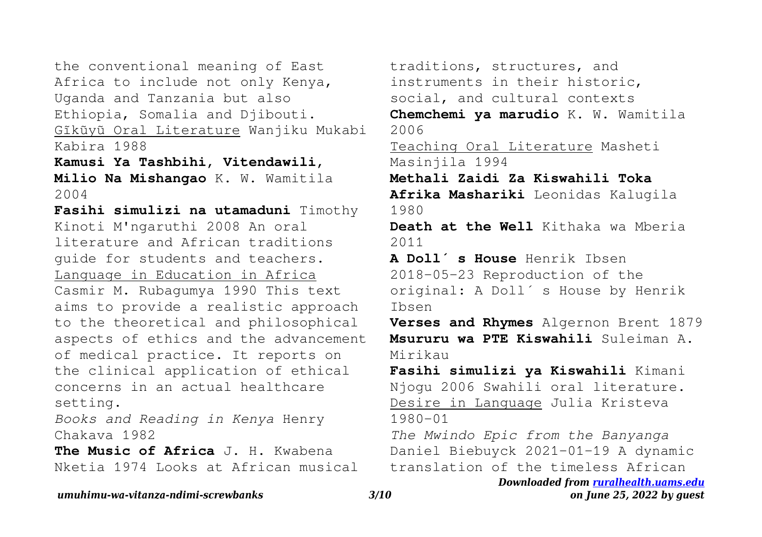the conventional meaning of East Africa to include not only Kenya, Uganda and Tanzania but also Ethiopia, Somalia and Djibouti. Gĩkũyũ Oral Literature Wanjiku Mukabi Kabira 1988

**Kamusi Ya Tashbihi, Vitendawili, Milio Na Mishangao** K. W. Wamitila 2004

**Fasihi simulizi na utamaduni** Timothy Kinoti M'ngaruthi 2008 An oral literature and African traditions guide for students and teachers. Language in Education in Africa Casmir M. Rubagumya 1990 This text aims to provide a realistic approach to the theoretical and philosophical aspects of ethics and the advancement of medical practice. It reports on the clinical application of ethical concerns in an actual healthcare setting.

*Books and Reading in Kenya* Henry Chakava 1982

**The Music of Africa** J. H. Kwabena Nketia 1974 Looks at African musical traditions, structures, and instruments in their historic, social, and cultural contexts

**Chemchemi ya marudio** K. W. Wamitila 2006

Teaching Oral Literature Masheti Masinjila 1994

**Methali Zaidi Za Kiswahili Toka Afrika Mashariki** Leonidas Kalugila

1980

**Death at the Well** Kithaka wa Mberia 2011

**A Doll ́s House** Henrik Ibsen 2018-05-23 Reproduction of the original: A Doll's House by Henrik Ibsen

**Verses and Rhymes** Algernon Brent 1879 **Msururu wa PTE Kiswahili** Suleiman A. Mirikau

**Fasihi simulizi ya Kiswahili** Kimani Njogu 2006 Swahili oral literature. Desire in Language Julia Kristeva 1980-01

*The Mwindo Epic from the Banyanga* Daniel Biebuyck 2021-01-19 A dynamic translation of the timeless African

*Downloaded from [ruralhealth.uams.edu](http://ruralhealth.uams.edu)*

*umuhimu-wa-vitanza-ndimi-screwbanks 3/10*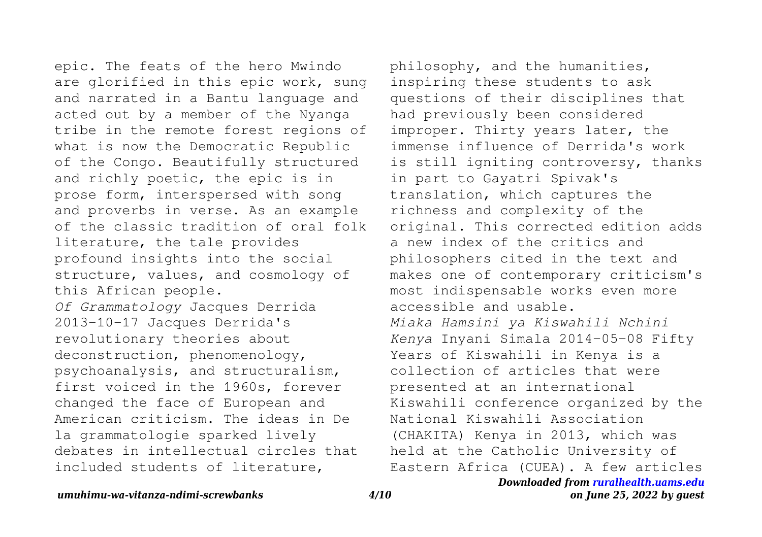epic. The feats of the hero Mwindo are glorified in this epic work, sung and narrated in a Bantu language and acted out by a member of the Nyanga tribe in the remote forest regions of what is now the Democratic Republic of the Congo. Beautifully structured and richly poetic, the epic is in prose form, interspersed with song and proverbs in verse. As an example of the classic tradition of oral folk literature, the tale provides profound insights into the social structure, values, and cosmology of this African people. *Of Grammatology* Jacques Derrida 2013-10-17 Jacques Derrida's revolutionary theories about deconstruction, phenomenology, psychoanalysis, and structuralism, first voiced in the 1960s, forever changed the face of European and American criticism. The ideas in De la grammatologie sparked lively debates in intellectual circles that included students of literature,

*Downloaded from [ruralhealth.uams.edu](http://ruralhealth.uams.edu)* philosophy, and the humanities, inspiring these students to ask questions of their disciplines that had previously been considered improper. Thirty years later, the immense influence of Derrida's work is still igniting controversy, thanks in part to Gayatri Spivak's translation, which captures the richness and complexity of the original. This corrected edition adds a new index of the critics and philosophers cited in the text and makes one of contemporary criticism's most indispensable works even more accessible and usable. *Miaka Hamsini ya Kiswahili Nchini Kenya* Inyani Simala 2014-05-08 Fifty Years of Kiswahili in Kenya is a collection of articles that were presented at an international Kiswahili conference organized by the National Kiswahili Association (CHAKITA) Kenya in 2013, which was held at the Catholic University of Eastern Africa (CUEA). A few articles

*umuhimu-wa-vitanza-ndimi-screwbanks 4/10*

*on June 25, 2022 by guest*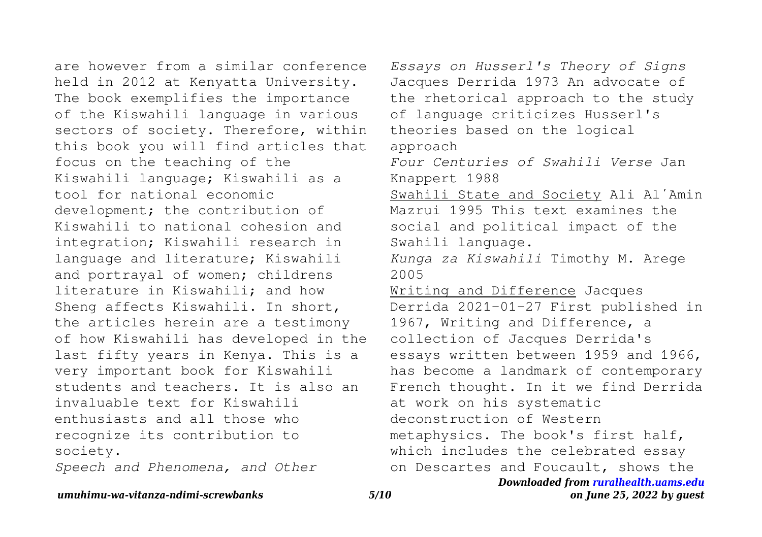are however from a similar conference held in 2012 at Kenyatta University. The book exemplifies the importance of the Kiswahili language in various sectors of society. Therefore, within this book you will find articles that focus on the teaching of the Kiswahili language; Kiswahili as a tool for national economic development; the contribution of Kiswahili to national cohesion and integration; Kiswahili research in language and literature; Kiswahili and portrayal of women; childrens literature in Kiswahili; and how Sheng affects Kiswahili. In short, the articles herein are a testimony of how Kiswahili has developed in the last fifty years in Kenya. This is a very important book for Kiswahili students and teachers. It is also an invaluable text for Kiswahili enthusiasts and all those who recognize its contribution to society.

*Speech and Phenomena, and Other*

*Downloaded from [ruralhealth.uams.edu](http://ruralhealth.uams.edu) Essays on Husserl's Theory of Signs* Jacques Derrida 1973 An advocate of the rhetorical approach to the study of language criticizes Husserl's theories based on the logical approach *Four Centuries of Swahili Verse* Jan Knappert 1988 Swahili State and Society Ali Al'Amin Mazrui 1995 This text examines the social and political impact of the Swahili language. *Kunga za Kiswahili* Timothy M. Arege 2005 Writing and Difference Jacques Derrida 2021-01-27 First published in 1967, Writing and Difference, a collection of Jacques Derrida's essays written between 1959 and 1966, has become a landmark of contemporary French thought. In it we find Derrida at work on his systematic deconstruction of Western metaphysics. The book's first half, which includes the celebrated essay on Descartes and Foucault, shows the

*umuhimu-wa-vitanza-ndimi-screwbanks 5/10*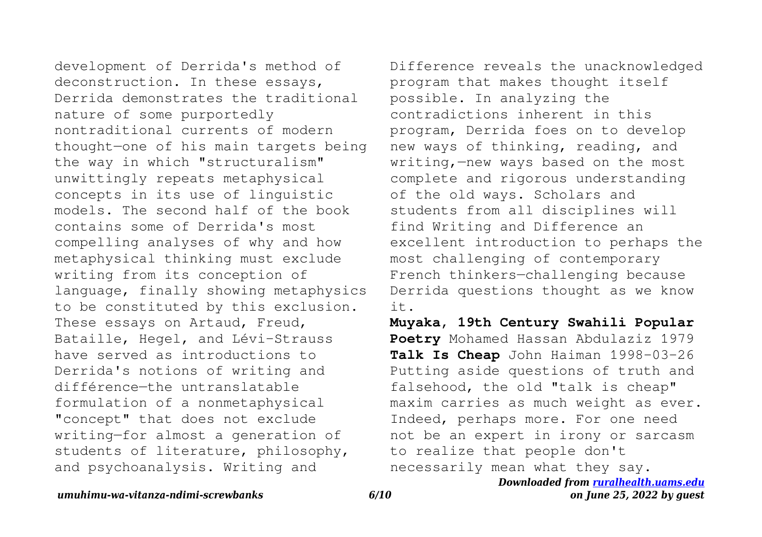development of Derrida's method of deconstruction. In these essays, Derrida demonstrates the traditional nature of some purportedly nontraditional currents of modern thought—one of his main targets being the way in which "structuralism" unwittingly repeats metaphysical concepts in its use of linguistic models. The second half of the book contains some of Derrida's most compelling analyses of why and how metaphysical thinking must exclude writing from its conception of language, finally showing metaphysics to be constituted by this exclusion. These essays on Artaud, Freud, Bataille, Hegel, and Lévi-Strauss have served as introductions to Derrida's notions of writing and différence—the untranslatable formulation of a nonmetaphysical "concept" that does not exclude writing—for almost a generation of students of literature, philosophy, and psychoanalysis. Writing and

Difference reveals the unacknowledged program that makes thought itself possible. In analyzing the contradictions inherent in this program, Derrida foes on to develop new ways of thinking, reading, and writing,—new ways based on the most complete and rigorous understanding of the old ways. Scholars and students from all disciplines will find Writing and Difference an excellent introduction to perhaps the most challenging of contemporary French thinkers—challenging because Derrida questions thought as we know it.

**Muyaka, 19th Century Swahili Popular Poetry** Mohamed Hassan Abdulaziz 1979 **Talk Is Cheap** John Haiman 1998-03-26 Putting aside questions of truth and falsehood, the old "talk is cheap" maxim carries as much weight as ever. Indeed, perhaps more. For one need not be an expert in irony or sarcasm to realize that people don't necessarily mean what they say.

*Downloaded from [ruralhealth.uams.edu](http://ruralhealth.uams.edu)*

## *umuhimu-wa-vitanza-ndimi-screwbanks 6/10*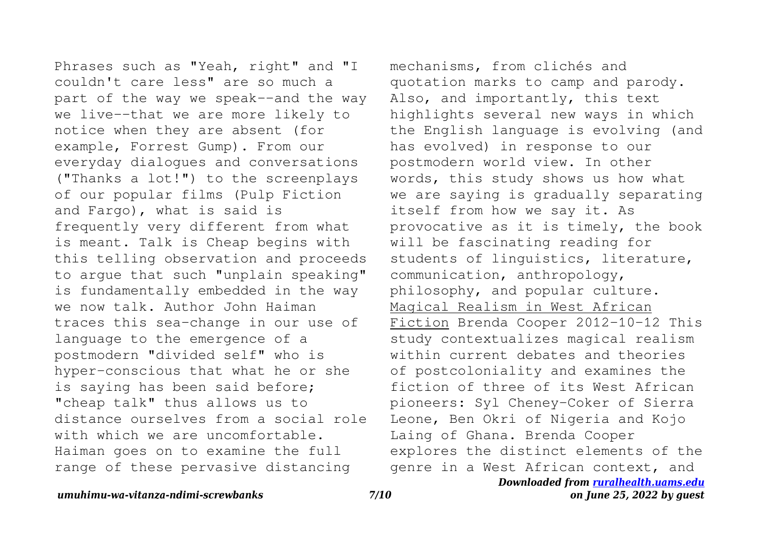Phrases such as "Yeah, right" and "I couldn't care less" are so much a part of the way we speak--and the way we live--that we are more likely to notice when they are absent (for example, Forrest Gump). From our everyday dialogues and conversations ("Thanks a lot!") to the screenplays of our popular films (Pulp Fiction and Fargo), what is said is frequently very different from what is meant. Talk is Cheap begins with this telling observation and proceeds to argue that such "unplain speaking" is fundamentally embedded in the way we now talk. Author John Haiman traces this sea-change in our use of language to the emergence of a postmodern "divided self" who is hyper-conscious that what he or she is saying has been said before; "cheap talk" thus allows us to distance ourselves from a social role with which we are uncomfortable. Haiman goes on to examine the full range of these pervasive distancing

*Downloaded from [ruralhealth.uams.edu](http://ruralhealth.uams.edu)* mechanisms, from clichés and quotation marks to camp and parody. Also, and importantly, this text highlights several new ways in which the English language is evolving (and has evolved) in response to our postmodern world view. In other words, this study shows us how what we are saying is gradually separating itself from how we say it. As provocative as it is timely, the book will be fascinating reading for students of linguistics, literature, communication, anthropology, philosophy, and popular culture. Magical Realism in West African Fiction Brenda Cooper 2012-10-12 This study contextualizes magical realism within current debates and theories of postcoloniality and examines the fiction of three of its West African pioneers: Syl Cheney-Coker of Sierra Leone, Ben Okri of Nigeria and Kojo Laing of Ghana. Brenda Cooper explores the distinct elements of the genre in a West African context, and

*umuhimu-wa-vitanza-ndimi-screwbanks 7/10*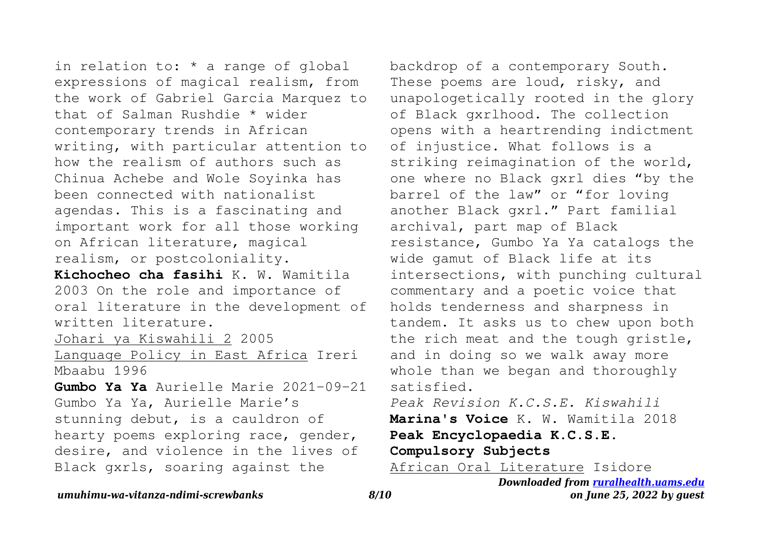in relation to: \* a range of global expressions of magical realism, from the work of Gabriel Garcia Marquez to that of Salman Rushdie \* wider contemporary trends in African writing, with particular attention to how the realism of authors such as Chinua Achebe and Wole Soyinka has been connected with nationalist agendas. This is a fascinating and important work for all those working on African literature, magical realism, or postcoloniality.

**Kichocheo cha fasihi** K. W. Wamitila 2003 On the role and importance of oral literature in the development of written literature.

Johari ya Kiswahili 2 2005

Language Policy in East Africa Ireri Mbaabu 1996

**Gumbo Ya Ya** Aurielle Marie 2021-09-21 Gumbo Ya Ya, Aurielle Marie's stunning debut, is a cauldron of hearty poems exploring race, gender, desire, and violence in the lives of Black gxrls, soaring against the

backdrop of a contemporary South. These poems are loud, risky, and unapologetically rooted in the glory of Black gxrlhood. The collection opens with a heartrending indictment of injustice. What follows is a striking reimagination of the world, one where no Black gxrl dies "by the barrel of the law" or "for loving another Black gxrl." Part familial archival, part map of Black resistance, Gumbo Ya Ya catalogs the wide gamut of Black life at its intersections, with punching cultural commentary and a poetic voice that holds tenderness and sharpness in tandem. It asks us to chew upon both the rich meat and the tough gristle, and in doing so we walk away more whole than we began and thoroughly satisfied.

*Peak Revision K.C.S.E. Kiswahili* **Marina's Voice** K. W. Wamitila 2018 **Peak Encyclopaedia K.C.S.E. Compulsory Subjects**

African Oral Literature Isidore

*Downloaded from [ruralhealth.uams.edu](http://ruralhealth.uams.edu) on June 25, 2022 by guest*

## *umuhimu-wa-vitanza-ndimi-screwbanks 8/10*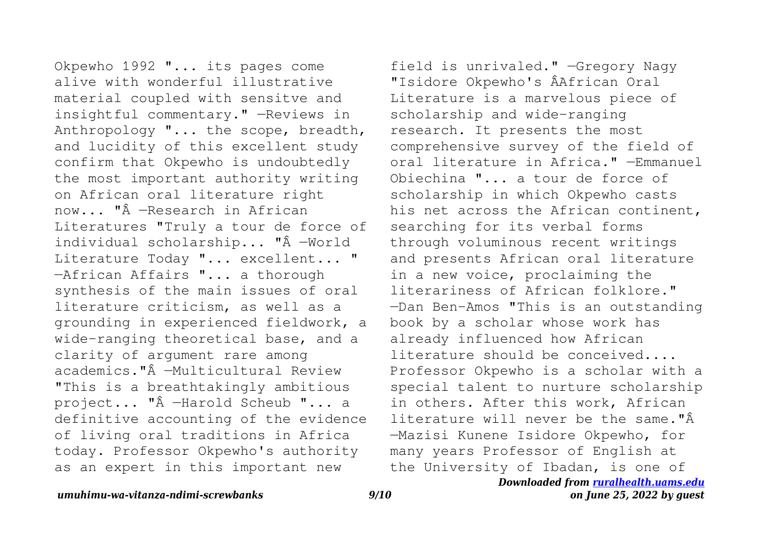Okpewho 1992 "... its pages come alive with wonderful illustrative material coupled with sensitve and insightful commentary." —Reviews in Anthropology "... the scope, breadth, and lucidity of this excellent study confirm that Okpewho is undoubtedly the most important authority writing on African oral literature right now... "Â —Research in African Literatures "Truly a tour de force of individual scholarship... "Â —World Literature Today "... excellent... " —African Affairs "... a thorough synthesis of the main issues of oral literature criticism, as well as a grounding in experienced fieldwork, a wide-ranging theoretical base, and a clarity of argument rare among academics."Â —Multicultural Review "This is a breathtakingly ambitious project... "Â —Harold Scheub "... a definitive accounting of the evidence of living oral traditions in Africa today. Professor Okpewho's authority as an expert in this important new

field is unrivaled." —Gregory Nagy "Isidore Okpewho's ÂAfrican Oral Literature is a marvelous piece of scholarship and wide-ranging research. It presents the most comprehensive survey of the field of oral literature in Africa." —Emmanuel Obiechina "... a tour de force of scholarship in which Okpewho casts his net across the African continent. searching for its verbal forms through voluminous recent writings and presents African oral literature in a new voice, proclaiming the literariness of African folklore." —Dan Ben-Amos "This is an outstanding book by a scholar whose work has already influenced how African literature should be conceived.... Professor Okpewho is a scholar with a special talent to nurture scholarship in others. After this work, African literature will never be the same."Â —Mazisi Kunene Isidore Okpewho, for many years Professor of English at the University of Ibadan, is one of

*Downloaded from [ruralhealth.uams.edu](http://ruralhealth.uams.edu)*